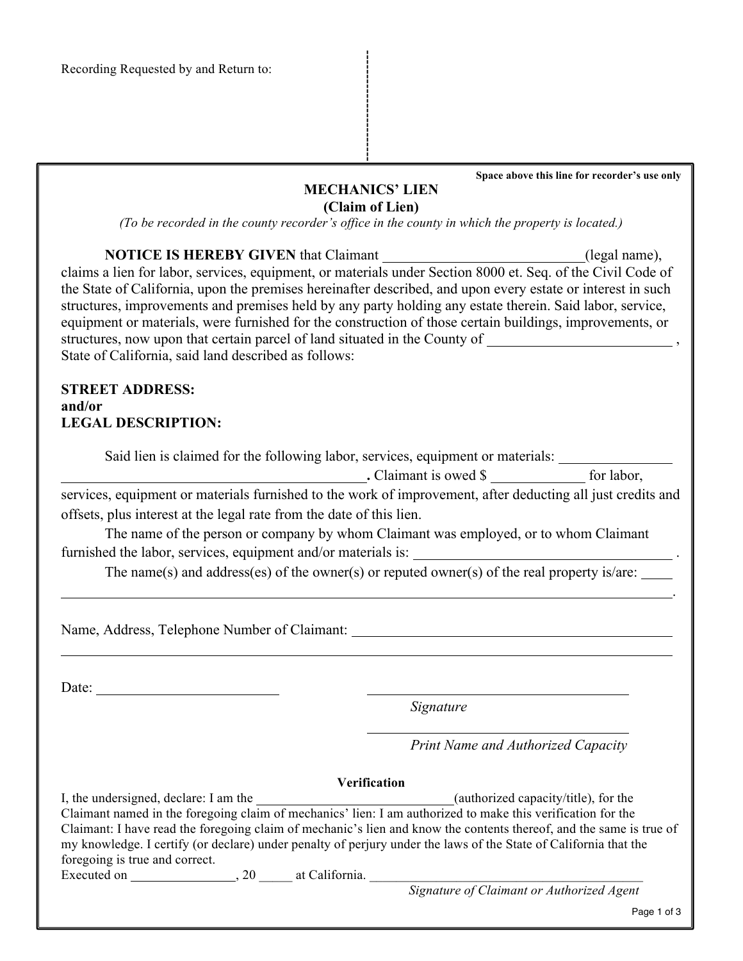**Space above this line for recorder's use only**

## **MECHANICS' LIEN (Claim of Lien)**

*(To be recorded in the county recorder's office in the county in which the property is located.)*

| <b>NOTICE IS HEREBY GIVEN</b> that Claimant                                                                                                        | (legal name),                                                                                                                        |
|----------------------------------------------------------------------------------------------------------------------------------------------------|--------------------------------------------------------------------------------------------------------------------------------------|
|                                                                                                                                                    | claims a lien for labor, services, equipment, or materials under Section 8000 et. Seq. of the Civil Code of                          |
|                                                                                                                                                    | the State of California, upon the premises hereinafter described, and upon every estate or interest in such                          |
|                                                                                                                                                    | structures, improvements and premises held by any party holding any estate therein. Said labor, service,                             |
|                                                                                                                                                    | equipment or materials, were furnished for the construction of those certain buildings, improvements, or                             |
|                                                                                                                                                    | structures, now upon that certain parcel of land situated in the County of _________________________,                                |
| State of California, said land described as follows:                                                                                               |                                                                                                                                      |
| <b>STREET ADDRESS:</b>                                                                                                                             |                                                                                                                                      |
| and/or                                                                                                                                             |                                                                                                                                      |
| <b>LEGAL DESCRIPTION:</b>                                                                                                                          |                                                                                                                                      |
|                                                                                                                                                    | Said lien is claimed for the following labor, services, equipment or materials:                                                      |
|                                                                                                                                                    | $\blacksquare$ . Claimant is owed \$ $\blacksquare$ for labor,                                                                       |
|                                                                                                                                                    | services, equipment or materials furnished to the work of improvement, after deducting all just credits and                          |
| offsets, plus interest at the legal rate from the date of this lien.                                                                               |                                                                                                                                      |
|                                                                                                                                                    | The name of the person or company by whom Claimant was employed, or to whom Claimant                                                 |
|                                                                                                                                                    |                                                                                                                                      |
|                                                                                                                                                    | The name(s) and address(es) of the owner(s) or reputed owner(s) of the real property is/are: $\frac{1}{\sqrt{1-\frac{1}{n}}}\right)$ |
|                                                                                                                                                    |                                                                                                                                      |
|                                                                                                                                                    |                                                                                                                                      |
| Date:                                                                                                                                              |                                                                                                                                      |
|                                                                                                                                                    | Signature                                                                                                                            |
|                                                                                                                                                    | Print Name and Authorized Capacity                                                                                                   |
|                                                                                                                                                    | Verification                                                                                                                         |
| I, the undersigned, declare: I am the <u>contained and contained</u> (authorized capacity/title), for the                                          |                                                                                                                                      |
| Claimant named in the foregoing claim of mechanics' lien: I am authorized to make this verification for the                                        |                                                                                                                                      |
|                                                                                                                                                    | Claimant: I have read the foregoing claim of mechanic's lien and know the contents thereof, and the same is true of                  |
| my knowledge. I certify (or declare) under penalty of perjury under the laws of the State of California that the<br>foregoing is true and correct. |                                                                                                                                      |
|                                                                                                                                                    |                                                                                                                                      |
|                                                                                                                                                    |                                                                                                                                      |
|                                                                                                                                                    | Page 1 of 3                                                                                                                          |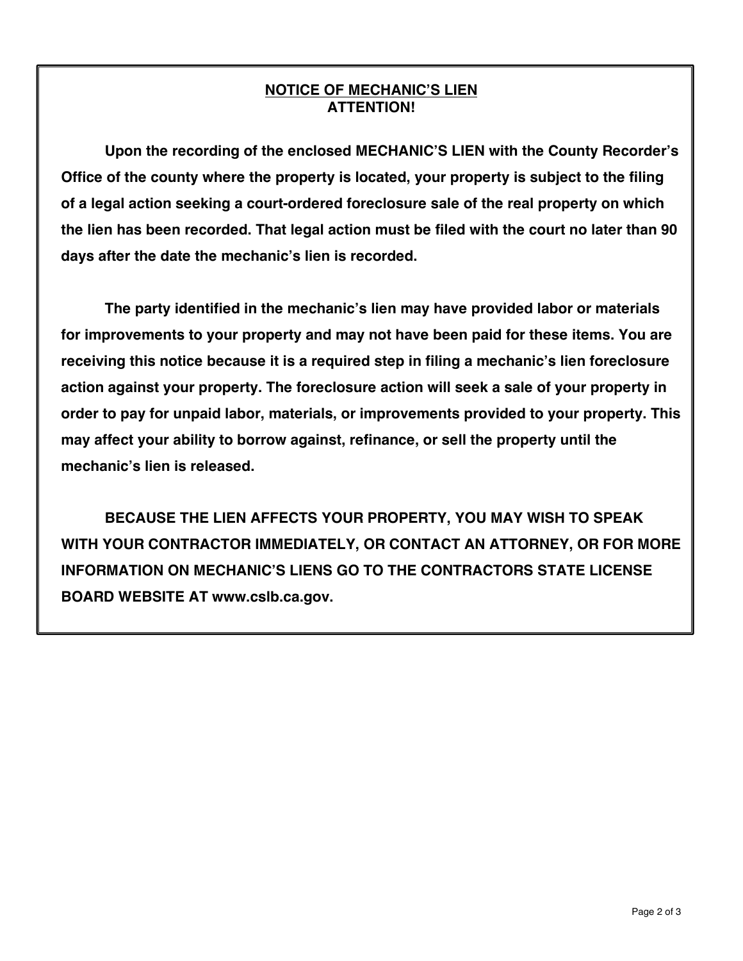## **NOTICE OF MECHANIC'S LIEN ATTENTION!**

**Upon the recording of the enclosed MECHANIC'S LIEN with the County Recorder's Office of the county where the property is located, your property is subject to the filing of a legal action seeking a court-ordered foreclosure sale of the real property on which the lien has been recorded. That legal action must be filed with the court no later than 90 days after the date the mechanic's lien is recorded.**

**The party identified in the mechanic's lien may have provided labor or materials for improvements to your property and may not have been paid for these items. You are receiving this notice because it is a required step in filing a mechanic's lien foreclosure action against your property. The foreclosure action will seek a sale of your property in order to pay for unpaid labor, materials, or improvements provided to your property. This may affect your ability to borrow against, refinance, or sell the property until the mechanic's lien is released.**

**BECAUSE THE LIEN AFFECTS YOUR PROPERTY, YOU MAY WISH TO SPEAK WITH YOUR CONTRACTOR IMMEDIATELY, OR CONTACT AN ATTORNEY, OR FOR MORE INFORMATION ON MECHANIC'S LIENS GO TO THE CONTRACTORS STATE LICENSE BOARD WEBSITE AT www.cslb.ca.gov.**